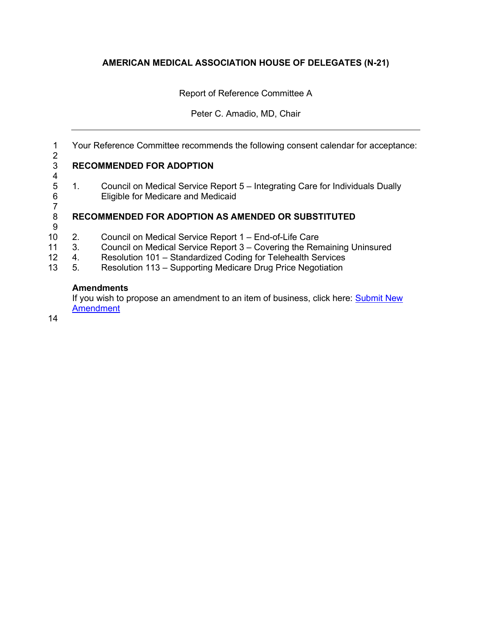# **AMERICAN MEDICAL ASSOCIATION HOUSE OF DELEGATES (N-21)**

Report of Reference Committee A

## Peter C. Amadio, MD, Chair

1 Your Reference Committee recommends the following consent calendar for acceptance:

### $\frac{2}{3}$ 3 **RECOMMENDED FOR ADOPTION**

 $\frac{4}{5}$ 5 1. Council on Medical Service Report 5 – Integrating Care for Individuals Dually Eligible for Medicare and Medicaid

#### 7 8 **RECOMMENDED FOR ADOPTION AS AMENDED OR SUBSTITUTED**

- 9
- 10 2. Council on Medical Service Report 1 End-of-Life Care
- 11 3. Council on Medical Service Report 3 Covering the Remaining Uninsured<br>12 4. Resolution 101 Standardized Coding for Telehealth Services
- Resolution 101 Standardized Coding for Telehealth Services
- 13 5. Resolution 113 Supporting Medicare Drug Price Negotiation

## **Amendments**

If you wish to propose an amendment to an item of business, click here: Submit New [Amendment](https://forms.office.com/Pages/ResponsePage.aspx?id=9mf-EVT9gUmSX5TDbtewhlljsixRHANIpoQXOENiFVdUN1RTVTFJNDhPVjM2OE40U1hBQ0tGVldVSi4u)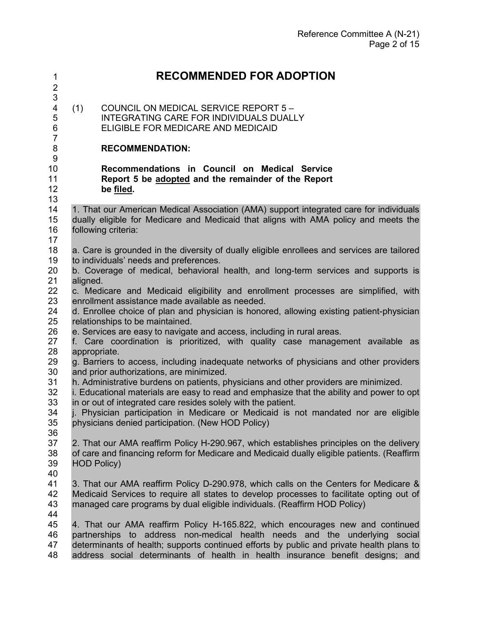### **RECOMMENDED FOR ADOPTION** 3<br>4  $(1)$  COUNCIL ON MEDICAL SERVICE REPORT  $5 -$  INTEGRATING CARE FOR INDIVIDUALS DUALLY ELIGIBLE FOR MEDICARE AND MEDICAID **RECOMMENDATION: Recommendations in Council on Medical Service Report 5 be adopted and the remainder of the Report be filed.** 1. That our American Medical Association (AMA) support integrated care for individuals dually eligible for Medicare and Medicaid that aligns with AMA policy and meets the following criteria: 17<br>18 a. Care is grounded in the diversity of dually eligible enrollees and services are tailored 19 to individuals' needs and preferences. b. Coverage of medical, behavioral health, and long-term services and supports is aligned. 22 c. Medicare and Medicaid eligibility and enrollment processes are simplified, with 23 enrollment assistance made available as needed. enrollment assistance made available as needed. d. Enrollee choice of plan and physician is honored, allowing existing patient-physician relationships to be maintained. 26 e. Services are easy to navigate and access, including in rural areas.<br>27 f. Care coordination is prioritized, with quality case manager f. Care coordination is prioritized, with quality case management available as appropriate. g. Barriers to access, including inadequate networks of physicians and other providers and prior authorizations, are minimized. h. Administrative burdens on patients, physicians and other providers are minimized. 32 i. Educational materials are easy to read and emphasize that the ability and power to opt 33 in or out of integrated care resides solely with the patient. in or out of integrated care resides solely with the patient. j. Physician participation in Medicare or Medicaid is not mandated nor are eligible physicians denied participation. (New HOD Policy) 2. That our AMA reaffirm Policy H-290.967, which establishes principles on the delivery 38 of care and financing reform for Medicare and Medicaid dually eligible patients. (Reaffirm 39 HOD Policy) HOD Policy) 40<br>41 3. That our AMA reaffirm Policy D-290.978, which calls on the Centers for Medicare & Medicaid Services to require all states to develop processes to facilitate opting out of managed care programs by dual eligible individuals. (Reaffirm HOD Policy) 4. That our AMA reaffirm Policy H-165.822, which encourages new and continued partnerships to address non-medical health needs and the underlying social determinants of health; supports continued efforts by public and private health plans to address social determinants of health in health insurance benefit designs; and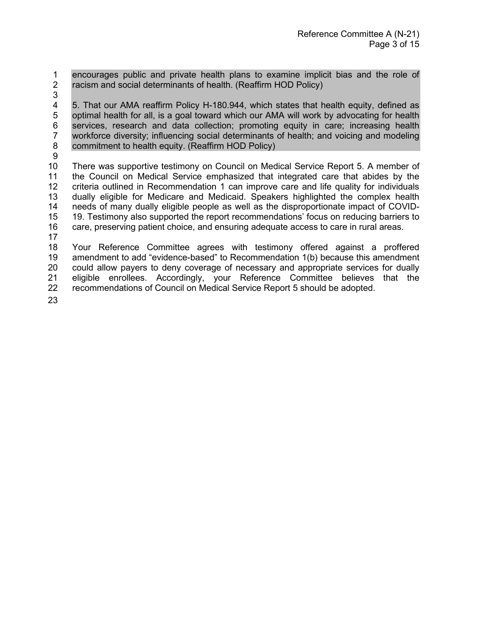1 encourages public and private health plans to examine implicit bias and the role of <br>2 racism and social determinants of health. (Reaffirm HOD Policy) racism and social determinants of health. (Reaffirm HOD Policy)

3

4 5. That our AMA reaffirm Policy H-180.944, which states that health equity, defined as optimal health for all, is a goal toward which our AMA will work by advocating for health 5 optimal health for all, is a goal toward which our AMA will work by advocating for health 6 services, research and data collection; promoting equity in care; increasing health 67 workforce diversity; influencing social determinants of health; and voicing and modeling workforce diversity; influencing social determinants of health; and voicing and modeling 8 commitment to health equity. (Reaffirm HOD Policy)

9

 There was supportive testimony on Council on Medical Service Report 5. A member of 11 the Council on Medical Service emphasized that integrated care that abides by the<br>12 criteria outlined in Recommendation 1 can improve care and life quality for individuals criteria outlined in Recommendation 1 can improve care and life quality for individuals dually eligible for Medicare and Medicaid. Speakers highlighted the complex health needs of many dually eligible people as well as the disproportionate impact of COVID- 19. Testimony also supported the report recommendations' focus on reducing barriers to care, preserving patient choice, and ensuring adequate access to care in rural areas.

17

18 Your Reference Committee agrees with testimony offered against a proffered 19 amendment to add "evidence-based" to Recommendation 1(b) because this amendment 20 could allow payers to deny coverage of necessary and appropriate services for dually 21 eligible enrollees. Accordingly, your Reference Committee believes that the 22 recommendations of Council on Medical Service Report 5 should be adopted. recommendations of Council on Medical Service Report 5 should be adopted.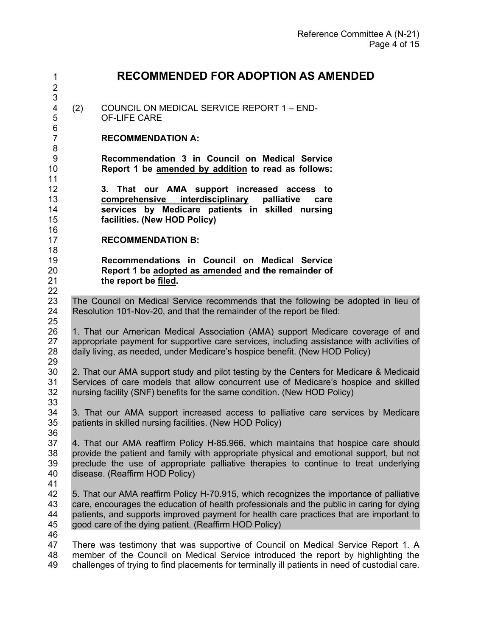| $\mathbf 1$<br>$\mathbf 2$        | <b>RECOMMENDED FOR ADOPTION AS AMENDED</b>                                                                                                                                                                                                                                                                                               |
|-----------------------------------|------------------------------------------------------------------------------------------------------------------------------------------------------------------------------------------------------------------------------------------------------------------------------------------------------------------------------------------|
| 3<br>$\overline{\mathbf{4}}$<br>5 | COUNCIL ON MEDICAL SERVICE REPORT 1 - END-<br>(2)<br><b>OF-LIFE CARE</b>                                                                                                                                                                                                                                                                 |
| 6<br>$\overline{7}$<br>8          | <b>RECOMMENDATION A:</b>                                                                                                                                                                                                                                                                                                                 |
| $\boldsymbol{9}$<br>10<br>11      | Recommendation 3 in Council on Medical Service<br>Report 1 be amended by addition to read as follows:                                                                                                                                                                                                                                    |
| 12<br>13<br>14<br>15<br>16        | 3. That our AMA support increased access to<br>interdisciplinary<br>comprehensive<br>palliative<br>care<br>services by Medicare patients in skilled nursing<br>facilities. (New HOD Policy)                                                                                                                                              |
| 17                                | <b>RECOMMENDATION B:</b>                                                                                                                                                                                                                                                                                                                 |
| 18<br>19<br>20<br>21<br>22        | Recommendations in Council on Medical Service<br>Report 1 be adopted as amended and the remainder of<br>the report be filed.                                                                                                                                                                                                             |
| 23<br>24<br>25                    | The Council on Medical Service recommends that the following be adopted in lieu of<br>Resolution 101-Nov-20, and that the remainder of the report be filed:                                                                                                                                                                              |
| 26<br>27<br>28<br>29              | 1. That our American Medical Association (AMA) support Medicare coverage of and<br>appropriate payment for supportive care services, including assistance with activities of<br>daily living, as needed, under Medicare's hospice benefit. (New HOD Policy)                                                                              |
| 30<br>31<br>32<br>33              | 2. That our AMA support study and pilot testing by the Centers for Medicare & Medicaid<br>Services of care models that allow concurrent use of Medicare's hospice and skilled<br>nursing facility (SNF) benefits for the same condition. (New HOD Policy)                                                                                |
| 34<br>35<br>36                    | 3. That our AMA support increased access to palliative care services by Medicare<br>patients in skilled nursing facilities. (New HOD Policy)                                                                                                                                                                                             |
| 37<br>38<br>39<br>40<br>41        | 4. That our AMA reaffirm Policy H-85.966, which maintains that hospice care should<br>provide the patient and family with appropriate physical and emotional support, but not<br>preclude the use of appropriate palliative therapies to continue to treat underlying<br>disease. (Reaffirm HOD Policy)                                  |
| 42<br>43<br>44<br>45<br>46        | 5. That our AMA reaffirm Policy H-70.915, which recognizes the importance of palliative<br>care, encourages the education of health professionals and the public in caring for dying<br>patients, and supports improved payment for health care practices that are important to<br>good care of the dying patient. (Reaffirm HOD Policy) |
| 47<br>48<br>49                    | There was testimony that was supportive of Council on Medical Service Report 1. A<br>member of the Council on Medical Service introduced the report by highlighting the<br>challenges of trying to find placements for terminally ill patients in need of custodial care.                                                                |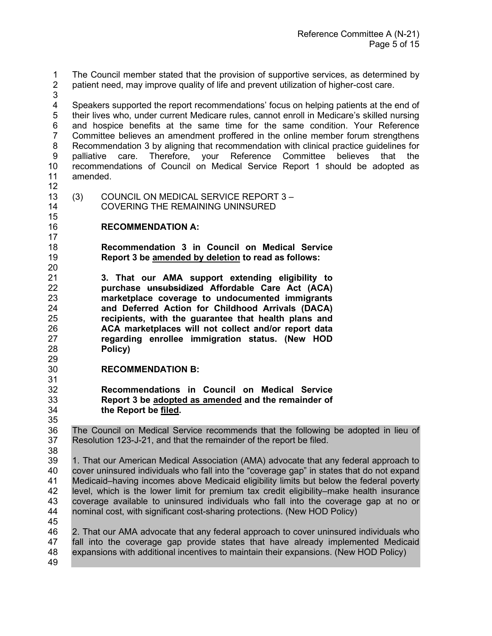1 The Council member stated that the provision of supportive services, as determined by<br>2 patient need, may improve quality of life and prevent utilization of higher-cost care. patient need, may improve quality of life and prevent utilization of higher-cost care.

 Speakers supported the report recommendations' focus on helping patients at the end of their lives who, under current Medicare rules, cannot enroll in Medicare's skilled nursing and hospice benefits at the same time for the same condition. Your Reference Committee believes an amendment proffered in the online member forum strengthens Recommendation 3 by aligning that recommendation with clinical practice guidelines for palliative care. Therefore, your Reference Committee believes that the recommendations of Council on Medical Service Report 1 should be adopted as amended.

 (3) COUNCIL ON MEDICAL SERVICE REPORT 3 – COVERING THE REMAINING UNINSURED

# **RECOMMENDATION A:**

 **Recommendation 3 in Council on Medical Service Report 3 be amended by deletion to read as follows:**

 **3. That our AMA support extending eligibility to purchase unsubsidized Affordable Care Act (ACA) marketplace coverage to undocumented immigrants and Deferred Action for Childhood Arrivals (DACA) recipients, with the guarantee that health plans and ACA marketplaces will not collect and/or report data regarding enrollee immigration status. (New HOD Policy)**

- **RECOMMENDATION B:**
- 31<br>32 **Recommendations in Council on Medical Service Report 3 be adopted as amended and the remainder of the Report be filed.**

36 The Council on Medical Service recommends that the following be adopted in lieu of 37 Resolution 123-J-21, and that the remainder of the report be filed. Resolution 123-J-21, and that the remainder of the report be filed.

 1. That our American Medical Association (AMA) advocate that any federal approach to cover uninsured individuals who fall into the "coverage gap" in states that do not expand 41 Medicaid–having incomes above Medicaid eligibility limits but below the federal poverty<br>42 Level, which is the lower limit for premium tax credit eligibility–make health insurance level, which is the lower limit for premium tax credit eligibility–make health insurance coverage available to uninsured individuals who fall into the coverage gap at no or nominal cost, with significant cost-sharing protections. (New HOD Policy) 

 2. That our AMA advocate that any federal approach to cover uninsured individuals who fall into the coverage gap provide states that have already implemented Medicaid expansions with additional incentives to maintain their expansions. (New HOD Policy)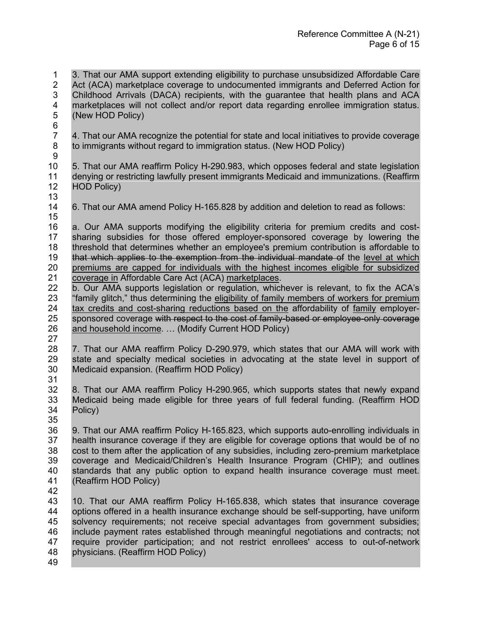1 3. That our AMA support extending eligibility to purchase unsubsidized Affordable Care<br>2 Act (ACA) marketplace coverage to undocumented immigrants and Deferred Action for Act (ACA) marketplace coverage to undocumented immigrants and Deferred Action for Childhood Arrivals (DACA) recipients, with the guarantee that health plans and ACA marketplaces will not collect and/or report data regarding enrollee immigration status. (New HOD Policy) 6<br>7 4. That our AMA recognize the potential for state and local initiatives to provide coverage to immigrants without regard to immigration status. (New HOD Policy) 5. That our AMA reaffirm Policy H-290.983, which opposes federal and state legislation denying or restricting lawfully present immigrants Medicaid and immunizations. (Reaffirm HOD Policy) 13<br>14 6. That our AMA amend Policy H-165.828 by addition and deletion to read as follows: a. Our AMA supports modifying the eligibility criteria for premium credits and cost- sharing subsidies for those offered employer-sponsored coverage by lowering the threshold that determines whether an employee's premium contribution is affordable to that which applies to the exemption from the individual mandate of the level at which premiums are capped for individuals with the highest incomes eligible for subsidized 21 coverage in Affordable Care Act (ACA) marketplaces.<br>22 b. Our AMA supports legislation or regulation, which b. Our AMA supports legislation or regulation, whichever is relevant, to fix the ACA's "family glitch," thus determining the eligibility of family members of workers for premium 24 tax credits and cost-sharing reductions based on the affordability of family employer-<br>25 sponsored coverage with respect to the cost of family-based or employee-only coverage sponsored coverage with respect to the cost of family-based or employee-only coverage and household income. … (Modify Current HOD Policy) 27<br>28 28 7. That our AMA reaffirm Policy D-290.979, which states that our AMA will work with 29 state and specialty medical societies in advocating at the state level in support of state and specialty medical societies in advocating at the state level in support of Medicaid expansion. (Reaffirm HOD Policy) 31<br>32 8. That our AMA reaffirm Policy H-290.965, which supports states that newly expand Medicaid being made eligible for three years of full federal funding. (Reaffirm HOD Policy) 9. That our AMA reaffirm Policy H-165.823, which supports auto-enrolling individuals in health insurance coverage if they are eligible for coverage options that would be of no cost to them after the application of any subsidies, including zero-premium marketplace coverage and Medicaid/Children's Health Insurance Program (CHIP); and outlines standards that any public option to expand health insurance coverage must meet. (Reaffirm HOD Policy) 10. That our AMA reaffirm Policy H-165.838, which states that insurance coverage options offered in a health insurance exchange should be self-supporting, have uniform solvency requirements; not receive special advantages from government subsidies; include payment rates established through meaningful negotiations and contracts; not require provider participation; and not restrict enrollees' access to out-of-network physicians. (Reaffirm HOD Policy)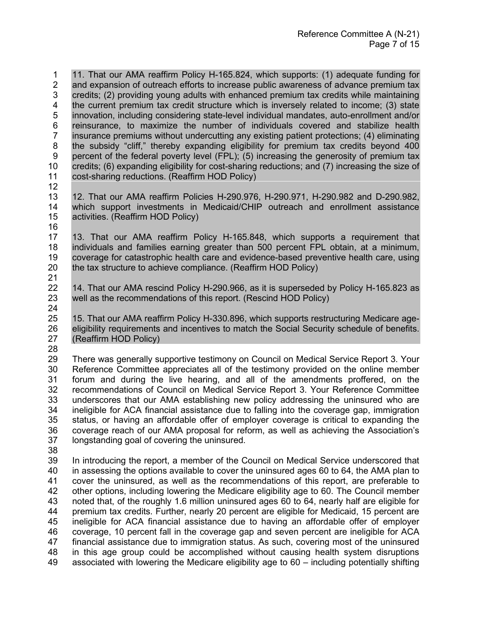11. That our AMA reaffirm Policy H-165.824, which supports: (1) adequate funding for <br>2 and expansion of outreach efforts to increase public awareness of advance premium tax and expansion of outreach efforts to increase public awareness of advance premium tax credits; (2) providing young adults with enhanced premium tax credits while maintaining the current premium tax credit structure which is inversely related to income; (3) state innovation, including considering state-level individual mandates, auto-enrollment and/or 6 reinsurance, to maximize the number of individuals covered and stabilize health<br>7 insurance premiums without undercutting any existing patient protections; (4) eliminating insurance premiums without undercutting any existing patient protections; (4) eliminating the subsidy "cliff," thereby expanding eligibility for premium tax credits beyond 400 percent of the federal poverty level (FPL); (5) increasing the generosity of premium tax credits; (6) expanding eligibility for cost-sharing reductions; and (7) increasing the size of cost-sharing reductions. (Reaffirm HOD Policy)

 12. That our AMA reaffirm Policies H-290.976, H-290.971, H-290.982 and D-290.982, which support investments in Medicaid/CHIP outreach and enrollment assistance activities. (Reaffirm HOD Policy)

- 13. That our AMA reaffirm Policy H-165.848, which supports a requirement that individuals and families earning greater than 500 percent FPL obtain, at a minimum, coverage for catastrophic health care and evidence-based preventive health care, using the tax structure to achieve compliance. (Reaffirm HOD Policy)
- 21<br>22 14. That our AMA rescind Policy H-290.966, as it is superseded by Policy H-165.823 as well as the recommendations of this report. (Rescind HOD Policy)
- 24<br>25 15. That our AMA reaffirm Policy H-330.896, which supports restructuring Medicare age- eligibility requirements and incentives to match the Social Security schedule of benefits. (Reaffirm HOD Policy)
- 

28<br>29 There was generally supportive testimony on Council on Medical Service Report 3. Your Reference Committee appreciates all of the testimony provided on the online member 31 forum and during the live hearing, and all of the amendments proffered, on the 32 recommendations of Council on Medical Service Report 3. Your Reference Committee recommendations of Council on Medical Service Report 3. Your Reference Committee underscores that our AMA establishing new policy addressing the uninsured who are ineligible for ACA financial assistance due to falling into the coverage gap, immigration status, or having an affordable offer of employer coverage is critical to expanding the coverage reach of our AMA proposal for reform, as well as achieving the Association's longstanding goal of covering the uninsured.

 In introducing the report, a member of the Council on Medical Service underscored that in assessing the options available to cover the uninsured ages 60 to 64, the AMA plan to cover the uninsured, as well as the recommendations of this report, are preferable to other options, including lowering the Medicare eligibility age to 60. The Council member noted that, of the roughly 1.6 million uninsured ages 60 to 64, nearly half are eligible for premium tax credits. Further, nearly 20 percent are eligible for Medicaid, 15 percent are ineligible for ACA financial assistance due to having an affordable offer of employer coverage, 10 percent fall in the coverage gap and seven percent are ineligible for ACA financial assistance due to immigration status. As such, covering most of the uninsured in this age group could be accomplished without causing health system disruptions associated with lowering the Medicare eligibility age to 60 – including potentially shifting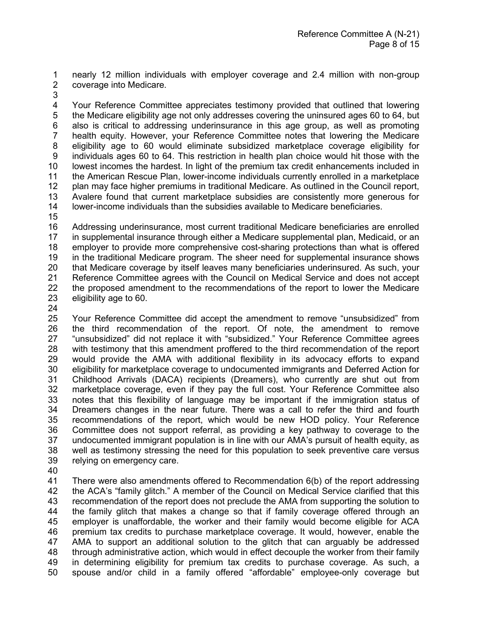nearly 12 million individuals with employer coverage and 2.4 million with non-group coverage into Medicare.

 Your Reference Committee appreciates testimony provided that outlined that lowering the Medicare eligibility age not only addresses covering the uninsured ages 60 to 64, but also is critical to addressing underinsurance in this age group, as well as promoting health equity. However, your Reference Committee notes that lowering the Medicare eligibility age to 60 would eliminate subsidized marketplace coverage eligibility for individuals ages 60 to 64. This restriction in health plan choice would hit those with the lowest incomes the hardest. In light of the premium tax credit enhancements included in the American Rescue Plan, lower-income individuals currently enrolled in a marketplace plan may face higher premiums in traditional Medicare. As outlined in the Council report, Avalere found that current marketplace subsidies are consistently more generous for lower-income individuals than the subsidies available to Medicare beneficiaries.

 Addressing underinsurance, most current traditional Medicare beneficiaries are enrolled in supplemental insurance through either a Medicare supplemental plan, Medicaid, or an employer to provide more comprehensive cost-sharing protections than what is offered in the traditional Medicare program. The sheer need for supplemental insurance shows that Medicare coverage by itself leaves many beneficiaries underinsured. As such, your 21 Reference Committee agrees with the Council on Medical Service and does not accept<br>22 the proposed amendment to the recommendations of the report to lower the Medicare the proposed amendment to the recommendations of the report to lower the Medicare eligibility age to 60.

 Your Reference Committee did accept the amendment to remove "unsubsidized" from the third recommendation of the report. Of note, the amendment to remove "unsubsidized" did not replace it with "subsidized." Your Reference Committee agrees 28 with testimony that this amendment proffered to the third recommendation of the report<br>29 would provide the AMA with additional flexibility in its advocacy efforts to expand would provide the AMA with additional flexibility in its advocacy efforts to expand eligibility for marketplace coverage to undocumented immigrants and Deferred Action for 31 Childhood Arrivals (DACA) recipients (Dreamers), who currently are shut out from<br>32 marketplace coverage, even if they pay the full cost. Your Reference Committee also marketplace coverage, even if they pay the full cost. Your Reference Committee also notes that this flexibility of language may be important if the immigration status of 34 Dreamers changes in the near future. There was a call to refer the third and fourth<br>35 recommendations of the report, which would be new HOD policy. Your Reference recommendations of the report, which would be new HOD policy. Your Reference Committee does not support referral, as providing a key pathway to coverage to the undocumented immigrant population is in line with our AMA's pursuit of health equity, as well as testimony stressing the need for this population to seek preventive care versus relying on emergency care.

41 There were also amendments offered to Recommendation 6(b) of the report addressing<br>42 the ACA's "family glitch." A member of the Council on Medical Service clarified that this the ACA's "family glitch." A member of the Council on Medical Service clarified that this recommendation of the report does not preclude the AMA from supporting the solution to the family glitch that makes a change so that if family coverage offered through an employer is unaffordable, the worker and their family would become eligible for ACA premium tax credits to purchase marketplace coverage. It would, however, enable the AMA to support an additional solution to the glitch that can arguably be addressed through administrative action, which would in effect decouple the worker from their family 49 in determining eligibility for premium tax credits to purchase coverage. As such, a<br>50 spouse and/or child in a family offered "affordable" emplovee-only coverage but spouse and/or child in a family offered "affordable" employee-only coverage but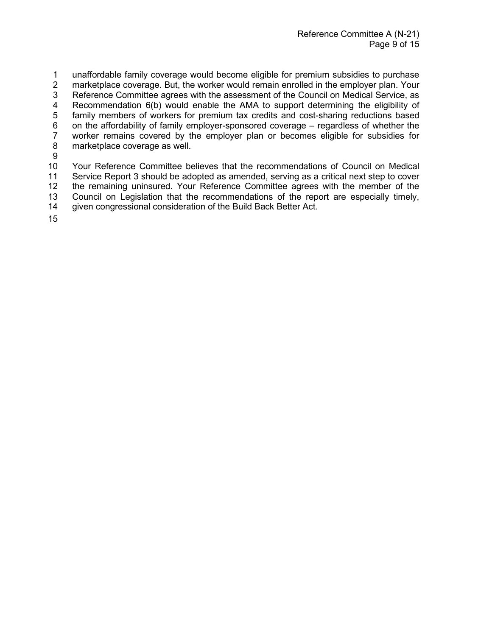1 unaffordable family coverage would become eligible for premium subsidies to purchase<br>2 marketplace coverage. But, the worker would remain enrolled in the employer plan. Your marketplace coverage. But, the worker would remain enrolled in the employer plan. Your 3 Reference Committee agrees with the assessment of the Council on Medical Service, as 4 Recommendation 6(b) would enable the AMA to support determining the eligibility of 5 family members of workers for premium tax credits and cost-sharing reductions based family members of workers for premium tax credits and cost-sharing reductions based 6 on the affordability of family employer-sponsored coverage – regardless of whether the<br>7 worker remains covered by the employer plan or becomes eligible for subsidies for 7 worker remains covered by the employer plan or becomes eligible for subsidies for marketplace coverage as well. 9 10 Your Reference Committee believes that the recommendations of Council on Medical

11 Service Report 3 should be adopted as amended, serving as a critical next step to cover<br>12 the remaining uninsured. Your Reference Committee agrees with the member of the the remaining uninsured. Your Reference Committee agrees with the member of the 13 Council on Legislation that the recommendations of the report are especially timely,

14 given congressional consideration of the Build Back Better Act.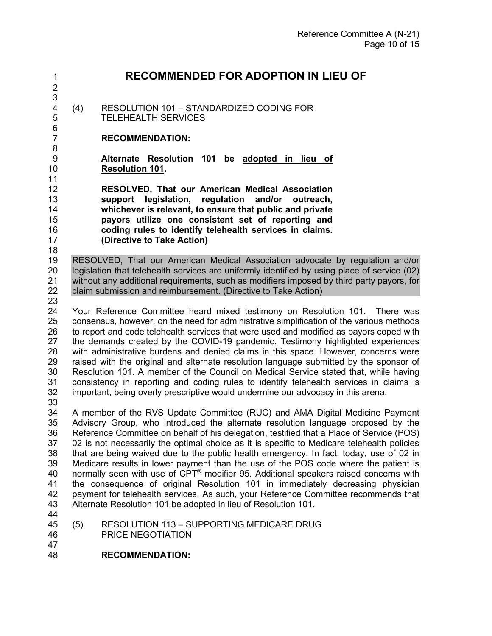# **RECOMMENDED FOR ADOPTION IN LIEU OF**

3<br>4 (4) RESOLUTION 101 - STANDARDIZED CODING FOR TELEHEALTH SERVICES

## **RECOMMENDATION:**

 **Alternate Resolution 101 be adopted in lieu of Resolution 101.** 

 **RESOLVED, That our American Medical Association support legislation, regulation and/or outreach, whichever is relevant, to ensure that public and private payors utilize one consistent set of reporting and coding rules to identify telehealth services in claims. (Directive to Take Action)**

 RESOLVED, That our American Medical Association advocate by regulation and/or legislation that telehealth services are uniformly identified by using place of service (02) without any additional requirements, such as modifiers imposed by third party payors, for claim submission and reimbursement. (Directive to Take Action)

 Your Reference Committee heard mixed testimony on Resolution 101. There was consensus, however, on the need for administrative simplification of the various methods 26 to report and code telehealth services that were used and modified as payors coped with<br>27 the demands created by the COVID-19 pandemic. Testimony highlighted experiences the demands created by the COVID-19 pandemic. Testimony highlighted experiences with administrative burdens and denied claims in this space. However, concerns were raised with the original and alternate resolution language submitted by the sponsor of Resolution 101. A member of the Council on Medical Service stated that, while having consistency in reporting and coding rules to identify telehealth services in claims is important, being overly prescriptive would undermine our advocacy in this arena.

 A member of the RVS Update Committee (RUC) and AMA Digital Medicine Payment Advisory Group, who introduced the alternate resolution language proposed by the Reference Committee on behalf of his delegation, testified that a Place of Service (POS) 02 is not necessarily the optimal choice as it is specific to Medicare telehealth policies that are being waived due to the public health emergency. In fact, today, use of 02 in Medicare results in lower payment than the use of the POS code where the patient is 40 normally seen with use of  $CPT^{\circ}$  modifier 95. Additional speakers raised concerns with the consequence of original Resolution 101 in immediately decreasing physician payment for telehealth services. As such, your Reference Committee recommends that Alternate Resolution 101 be adopted in lieu of Resolution 101.

 (5) RESOLUTION 113 – SUPPORTING MEDICARE DRUG PRICE NEGOTIATION

**RECOMMENDATION:**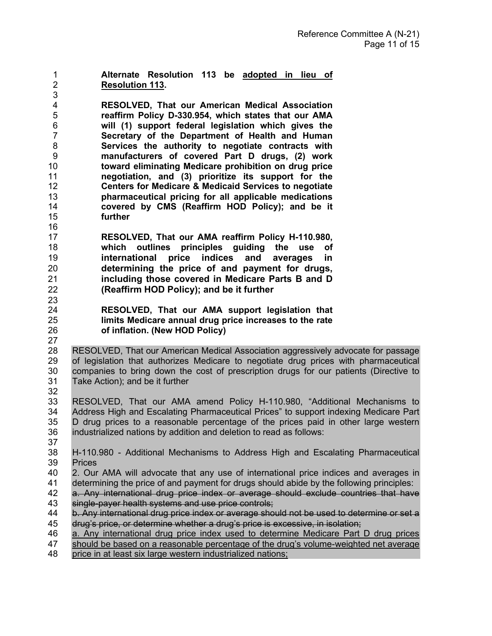**Alternate Resolution 113 be adopted in lieu of Resolution 113.**  

 **RESOLVED, That our American Medical Association reaffirm Policy D-330.954, which states that our AMA will (1) support federal legislation which gives the Secretary of the Department of Health and Human Services the authority to negotiate contracts with manufacturers of covered Part D drugs, (2) work toward eliminating Medicare prohibition on drug price negotiation, and (3) prioritize its support for the Centers for Medicare & Medicaid Services to negotiate pharmaceutical pricing for all applicable medications covered by CMS (Reaffirm HOD Policy); and be it**  further 

- **RESOLVED, That our AMA reaffirm Policy H-110.980, which outlines principles guiding the use of international price indices and averages in determining the price of and payment for drugs, including those covered in Medicare Parts B and D (Reaffirm HOD Policy); and be it further**
- **RESOLVED, That our AMA support legislation that limits Medicare annual drug price increases to the rate of inflation. (New HOD Policy)**

 RESOLVED, That our American Medical Association aggressively advocate for passage 29 of legislation that authorizes Medicare to negotiate drug prices with pharmaceutical<br>30 companies to bring down the cost of prescription drugs for our patients (Directive to 30 companies to bring down the cost of prescription drugs for our patients (Directive to 31 Take Action): and be it further Take Action); and be it further 

 RESOLVED, That our AMA amend Policy H-110.980, "Additional Mechanisms to Address High and Escalating Pharmaceutical Prices" to support indexing Medicare Part D drug prices to a reasonable percentage of the prices paid in other large western industrialized nations by addition and deletion to read as follows: 

- H-110.980 Additional Mechanisms to Address High and Escalating Pharmaceutical Prices
- 2. Our AMA will advocate that any use of international price indices and averages in determining the price of and payment for drugs should abide by the following principles:
- a. Any international drug price index or average should exclude countries that have
- 43 single-payer health systems and use price controls;<br>44 b. Any international drug price index or average sho b. Any international drug price index or average should not be used to determine or set a drug's price, or determine whether a drug's price is excessive, in isolation;
- a. Any international drug price index used to determine Medicare Part D drug prices
- should be based on a reasonable percentage of the drug's volume-weighted net average
- price in at least six large western industrialized nations;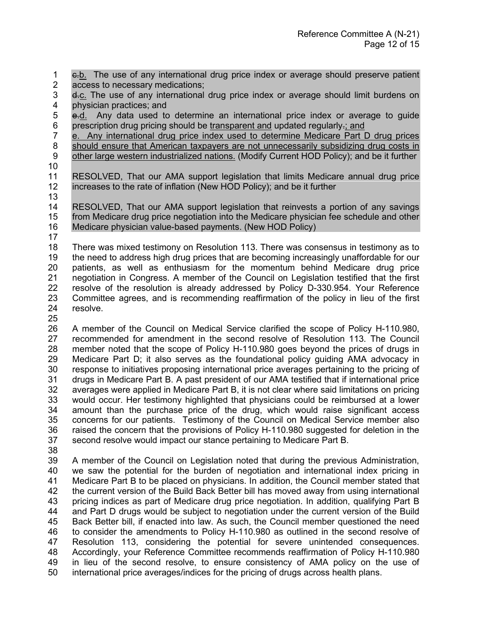1 e.b. The use of any international drug price index or average should preserve patient 2 access to necessary medications: access to necessary medications;

3 d.c. The use of any international drug price index or average should limit burdens on physician practices; and

5 e.d. Any data used to determine an international price index or average to guide prescription drug pricing should be transparent and updated regularly.; and

 e. Any international drug price index used to determine Medicare Part D drug prices 8 should ensure that American taxpayers are not unnecessarily subsidizing drug costs in other large western industrialized nations. (Modify Current HOD Policy); and be it further 

 RESOLVED, That our AMA support legislation that limits Medicare annual drug price increases to the rate of inflation (New HOD Policy); and be it further

 RESOLVED, That our AMA support legislation that reinvests a portion of any savings from Medicare drug price negotiation into the Medicare physician fee schedule and other Medicare physician value-based payments. (New HOD Policy)

 There was mixed testimony on Resolution 113. There was consensus in testimony as to the need to address high drug prices that are becoming increasingly unaffordable for our patients, as well as enthusiasm for the momentum behind Medicare drug price 21 a negotiation in Congress. A member of the Council on Legislation testified that the first 22 resolve of the resolution is already addressed by Policy D-330.954. Your Reference resolve of the resolution is already addressed by Policy D-330.954. Your Reference Committee agrees, and is recommending reaffirmation of the policy in lieu of the first resolve.

 A member of the Council on Medical Service clarified the scope of Policy H-110.980, recommended for amendment in the second resolve of Resolution 113. The Council 28 member noted that the scope of Policy H-110.980 goes beyond the prices of drugs in<br>29 Medicare Part D: it also serves as the foundational policy quiding AMA advocacy in Medicare Part D; it also serves as the foundational policy quiding AMA advocacy in response to initiatives proposing international price averages pertaining to the pricing of drugs in Medicare Part B. A past president of our AMA testified that if international price averages were applied in Medicare Part B, it is not clear where said limitations on pricing would occur. Her testimony highlighted that physicians could be reimbursed at a lower amount than the purchase price of the drug, which would raise significant access concerns for our patients. Testimony of the Council on Medical Service member also raised the concern that the provisions of Policy H-110.980 suggested for deletion in the second resolve would impact our stance pertaining to Medicare Part B.

 A member of the Council on Legislation noted that during the previous Administration, we saw the potential for the burden of negotiation and international index pricing in Medicare Part B to be placed on physicians. In addition, the Council member stated that the current version of the Build Back Better bill has moved away from using international pricing indices as part of Medicare drug price negotiation. In addition, qualifying Part B and Part D drugs would be subject to negotiation under the current version of the Build Back Better bill, if enacted into law. As such, the Council member questioned the need to consider the amendments to Policy H-110.980 as outlined in the second resolve of Resolution 113, considering the potential for severe unintended consequences. Accordingly, your Reference Committee recommends reaffirmation of Policy H-110.980 in lieu of the second resolve, to ensure consistency of AMA policy on the use of international price averages/indices for the pricing of drugs across health plans.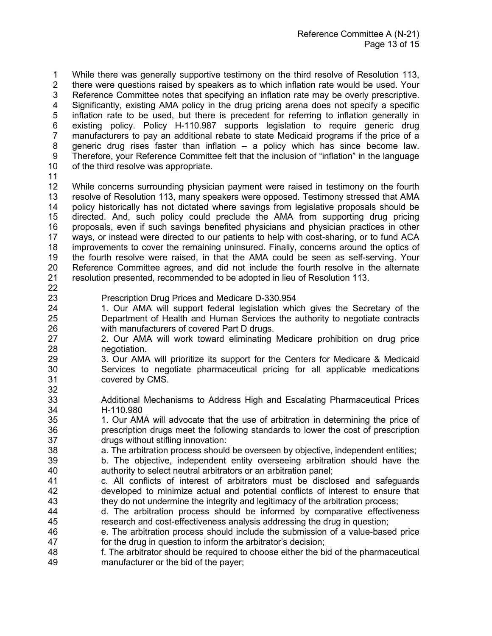1 While there was generally supportive testimony on the third resolve of Resolution 113,<br>2 there were questions raised by speakers as to which inflation rate would be used. Your there were questions raised by speakers as to which inflation rate would be used. Your Reference Committee notes that specifying an inflation rate may be overly prescriptive. Significantly, existing AMA policy in the drug pricing arena does not specify a specific inflation rate to be used, but there is precedent for referring to inflation generally in existing policy. Policy H-110.987 supports legislation to require generic drug manufacturers to pay an additional rebate to state Medicaid programs if the price of a generic drug rises faster than inflation – a policy which has since become law. Therefore, your Reference Committee felt that the inclusion of "inflation" in the language of the third resolve was appropriate.

 While concerns surrounding physician payment were raised in testimony on the fourth resolve of Resolution 113, many speakers were opposed. Testimony stressed that AMA policy historically has not dictated where savings from legislative proposals should be directed. And, such policy could preclude the AMA from supporting drug pricing proposals, even if such savings benefited physicians and physician practices in other ways, or instead were directed to our patients to help with cost-sharing, or to fund ACA improvements to cover the remaining uninsured. Finally, concerns around the optics of the fourth resolve were raised, in that the AMA could be seen as self-serving. Your Reference Committee agrees, and did not include the fourth resolve in the alternate resolution presented, recommended to be adopted in lieu of Resolution 113. 

- Prescription Drug Prices and Medicare D-330.954
- 1. Our AMA will support federal legislation which gives the Secretary of the Department of Health and Human Services the authority to negotiate contracts with manufacturers of covered Part D drugs.
- 2. Our AMA will work toward eliminating Medicare prohibition on drug price 28 negotiation.<br>29 3. Our AMA
- 3. Our AMA will prioritize its support for the Centers for Medicare & Medicaid Services to negotiate pharmaceutical pricing for all applicable medications covered by CMS.
- Additional Mechanisms to Address High and Escalating Pharmaceutical Prices H-110.980
- 35 1. Our AMA will advocate that the use of arbitration in determining the price of 36 prescription drugs meet the following standards to lower the cost of prescription drugs without stifling innovation:
- a. The arbitration process should be overseen by objective, independent entities;
- b. The objective, independent entity overseeing arbitration should have the authority to select neutral arbitrators or an arbitration panel;
- c. All conflicts of interest of arbitrators must be disclosed and safeguards developed to minimize actual and potential conflicts of interest to ensure that they do not undermine the integrity and legitimacy of the arbitration process;
- d. The arbitration process should be informed by comparative effectiveness research and cost-effectiveness analysis addressing the drug in question;
- e. The arbitration process should include the submission of a value-based price for the drug in question to inform the arbitrator's decision;
- f. The arbitrator should be required to choose either the bid of the pharmaceutical manufacturer or the bid of the payer;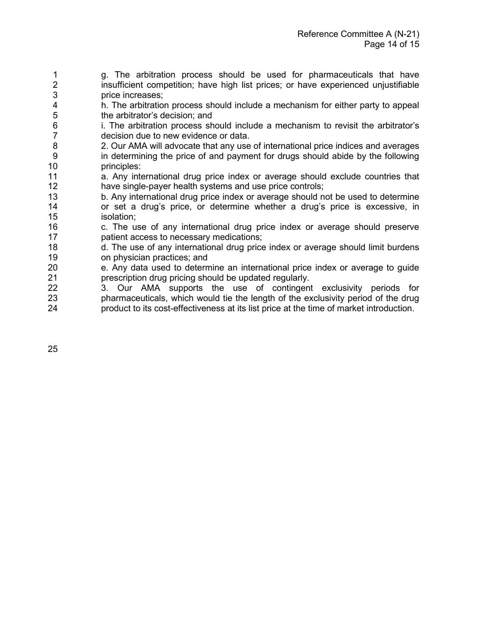1 g. The arbitration process should be used for pharmaceuticals that have<br>2 insufficient competition: have high list prices: or have experienced uniustifiable insufficient competition; have high list prices; or have experienced uniustifiable 3 price increases;

4 h. The arbitration process should include a mechanism for either party to appeal to appeal the arbitrator's decision; and the arbitrator's decision; and

6 i. The arbitration process should include a mechanism to revisit the arbitrator's decision due to new evidence or data.

7 decision due to new evidence or data.<br>8 2. Our AMA will advocate that any use 8 2. Our AMA will advocate that any use of international price indices and averages 9 in determining the price of and payment for drugs should abide by the following 10 principles:

11 a. Any international drug price index or average should exclude countries that<br>12 have single-payer health systems and use price controls: have single-payer health systems and use price controls;

13 b. Any international drug price index or average should not be used to determine<br>14 or set a drug's price, or determine whether a drug's price is excessive, in 14 or set a drug's price, or determine whether a drug's price is excessive, in isolation;

16 c. The use of any international drug price index or average should preserve 17 patient access to necessary medications;

18 d. The use of any international drug price index or average should limit burdens 19 on physician practices; and

20 e. Any data used to determine an international price index or average to guide<br>21 **eraging the control of the state of the control** prescribion drug prescription drug should be updated requiar 21 **prescription drug pricing should be updated regularly.**<br>22 3. Our AMA supports the use of contingent

3. Our AMA supports the use of contingent exclusivity periods for 23 pharmaceuticals, which would tie the length of the exclusivity period of the drug 24 product to its cost-effectiveness at its list price at the time of market introduction.